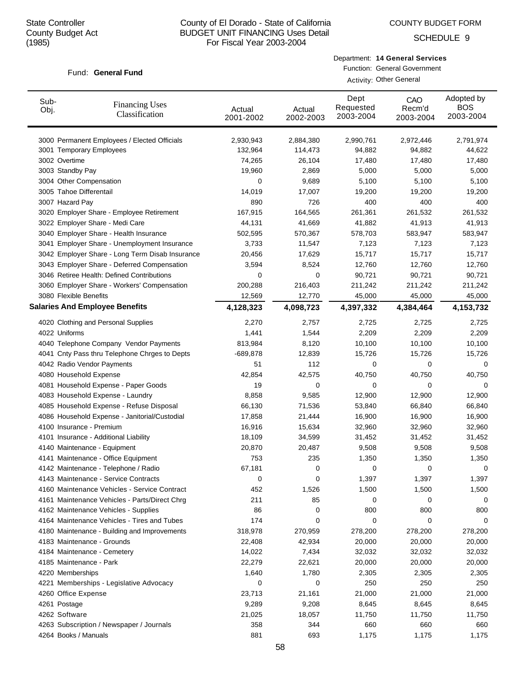COUNTY BUDGET FORM

SCHEDULE 9

#### Fund: General Fund

Department: **14 General Services**

| Sub-<br>Obj. | <b>Financing Uses</b><br>Classification         | Actual<br>2001-2002 | Actual<br>2002-2003 | Dept<br>Requested<br>2003-2004 | CAO<br>Recm'd<br>2003-2004 | Adopted by<br><b>BOS</b><br>2003-2004 |
|--------------|-------------------------------------------------|---------------------|---------------------|--------------------------------|----------------------------|---------------------------------------|
|              | 3000 Permanent Employees / Elected Officials    | 2,930,943           | 2,884,380           | 2,990,761                      | 2,972,446                  | 2,791,974                             |
|              | 3001 Temporary Employees                        | 132,964             | 114,473             | 94,882                         | 94,882                     | 44,622                                |
|              | 3002 Overtime                                   | 74,265              | 26,104              | 17,480                         | 17,480                     | 17,480                                |
|              | 3003 Standby Pay                                | 19,960              | 2,869               | 5,000                          | 5,000                      | 5,000                                 |
|              | 3004 Other Compensation                         | 0                   | 9,689               | 5,100                          | 5,100                      | 5,100                                 |
|              | 3005 Tahoe Differentail                         | 14,019              | 17,007              | 19,200                         | 19,200                     | 19,200                                |
|              | 3007 Hazard Pay                                 | 890                 | 726                 | 400                            | 400                        | 400                                   |
|              | 3020 Employer Share - Employee Retirement       | 167,915             | 164,565             | 261,361                        | 261,532                    | 261,532                               |
|              | 3022 Employer Share - Medi Care                 | 44,131              | 41,669              | 41,882                         | 41,913                     | 41,913                                |
|              | 3040 Employer Share - Health Insurance          | 502,595             | 570,367             | 578,703                        | 583,947                    | 583,947                               |
|              | 3041 Employer Share - Unemployment Insurance    | 3,733               | 11,547              | 7,123                          | 7,123                      | 7,123                                 |
|              | 3042 Employer Share - Long Term Disab Insurance | 20,456              | 17,629              | 15,717                         | 15,717                     | 15,717                                |
|              | 3043 Employer Share - Deferred Compensation     | 3,594               | 8,524               | 12,760                         | 12,760                     | 12,760                                |
|              | 3046 Retiree Health: Defined Contributions      | 0                   | 0                   | 90,721                         | 90,721                     | 90,721                                |
|              | 3060 Employer Share - Workers' Compensation     | 200,288             | 216,403             | 211,242                        | 211,242                    | 211,242                               |
|              | 3080 Flexible Benefits                          | 12,569              | 12,770              | 45,000                         | 45,000                     | 45,000                                |
|              | <b>Salaries And Employee Benefits</b>           | 4,128,323           | 4,098,723           | 4,397,332                      | 4,384,464                  | 4,153,732                             |
|              | 4020 Clothing and Personal Supplies             | 2,270               | 2,757               | 2,725                          | 2,725                      | 2,725                                 |
|              | 4022 Uniforms                                   | 1,441               | 1,544               | 2,209                          | 2,209                      | 2,209                                 |
|              | 4040 Telephone Company Vendor Payments          | 813,984             | 8,120               | 10,100                         | 10,100                     | 10,100                                |
|              | 4041 Cnty Pass thru Telephone Chrges to Depts   | -689,878            | 12,839              | 15,726                         | 15,726                     | 15,726                                |
|              | 4042 Radio Vendor Payments                      | 51                  | 112                 | 0                              | 0                          | 0                                     |
|              | 4080 Household Expense                          | 42,854              | 42,575              | 40,750                         | 40,750                     | 40,750                                |
|              | 4081 Household Expense - Paper Goods            | 19                  | 0                   | 0                              | 0                          | 0                                     |
|              | 4083 Household Expense - Laundry                | 8,858               | 9,585               | 12,900                         | 12,900                     | 12,900                                |
|              | 4085 Household Expense - Refuse Disposal        | 66,130              | 71,536              | 53,840                         | 66,840                     | 66,840                                |
|              | 4086 Household Expense - Janitorial/Custodial   | 17,858              | 21,444              | 16,900                         | 16,900                     | 16,900                                |
|              | 4100 Insurance - Premium                        | 16,916              | 15,634              | 32,960                         | 32,960                     | 32,960                                |
|              | 4101 Insurance - Additional Liability           | 18,109              | 34,599              | 31,452                         | 31,452                     | 31,452                                |
|              | 4140 Maintenance - Equipment                    | 20,870              | 20,487              | 9,508                          | 9,508                      | 9,508                                 |
|              | 4141 Maintenance - Office Equipment             | 753                 | 235                 | 1,350                          | 1,350                      | 1,350                                 |
|              | 4142 Maintenance - Telephone / Radio            | 67,181              | 0                   | 0                              | 0                          | 0                                     |
|              | 4143 Maintenance - Service Contracts            | 0                   | 0                   | 1,397                          | 1,397                      | 1,397                                 |
|              | 4160 Maintenance Vehicles - Service Contract    | 452                 | 1,526               | 1,500                          | 1,500                      | 1,500                                 |
|              | 4161 Maintenance Vehicles - Parts/Direct Chrg   | 211                 | 85                  | 0                              | 0                          | 0                                     |
|              | 4162 Maintenance Vehicles - Supplies            | 86                  | 0                   | 800                            | 800                        | 800                                   |
|              | 4164 Maintenance Vehicles - Tires and Tubes     | 174                 | 0                   | 0                              | 0                          | 0                                     |
|              | 4180 Maintenance - Building and Improvements    | 318,978             | 270,959             | 278,200                        | 278,200                    | 278,200                               |
|              | 4183 Maintenance - Grounds                      | 22,408              | 42,934              | 20,000                         | 20,000                     | 20,000                                |
|              | 4184 Maintenance - Cemetery                     | 14,022              | 7,434               | 32,032                         | 32,032                     | 32,032                                |
|              | 4185 Maintenance - Park                         | 22,279              | 22,621              | 20,000                         | 20,000                     | 20,000                                |
|              | 4220 Memberships                                | 1,640               | 1,780               | 2,305                          | 2,305                      | 2,305                                 |
|              | 4221 Memberships - Legislative Advocacy         | 0                   | 0                   | 250                            | 250                        | 250                                   |
|              | 4260 Office Expense                             | 23,713              | 21,161              | 21,000                         | 21,000                     | 21,000                                |
|              | 4261 Postage                                    | 9,289               | 9,208               | 8,645                          | 8,645                      | 8,645                                 |
|              | 4262 Software                                   | 21,025              | 18,057              | 11,750                         | 11,750                     | 11,750                                |
|              | 4263 Subscription / Newspaper / Journals        | 358                 | 344                 | 660                            | 660                        | 660                                   |
|              | 4264 Books / Manuals                            | 881                 | 693                 | 1,175                          | 1,175                      | 1,175                                 |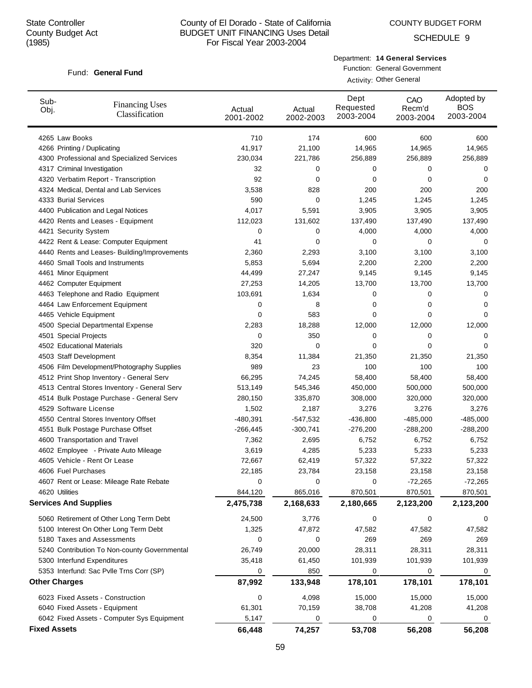COUNTY BUDGET FORM

SCHEDULE 9

#### Fund: General Fund

Department: **14 General Services**

| Sub-<br>Obj.        | <b>Financing Uses</b><br>Classification      | Actual<br>2001-2002 | Actual<br>2002-2003 | Dept<br>Requested<br>2003-2004 | CAO<br>Recm'd<br>2003-2004 | Adopted by<br><b>BOS</b><br>2003-2004 |
|---------------------|----------------------------------------------|---------------------|---------------------|--------------------------------|----------------------------|---------------------------------------|
|                     | 4265 Law Books                               | 710                 | 174                 | 600                            | 600                        | 600                                   |
|                     | 4266 Printing / Duplicating                  | 41,917              | 21,100              | 14,965                         | 14,965                     | 14,965                                |
|                     | 4300 Professional and Specialized Services   | 230,034             | 221,786             | 256,889                        | 256,889                    | 256,889                               |
|                     | 4317 Criminal Investigation                  | 32                  | 0                   | 0                              | 0                          | 0                                     |
|                     | 4320 Verbatim Report - Transcription         | 92                  | 0                   | 0                              | 0                          | 0                                     |
|                     | 4324 Medical, Dental and Lab Services        | 3,538               | 828                 | 200                            | 200                        | 200                                   |
|                     | 4333 Burial Services                         | 590                 | 0                   | 1,245                          | 1,245                      | 1,245                                 |
|                     | 4400 Publication and Legal Notices           | 4,017               | 5,591               | 3,905                          | 3,905                      | 3,905                                 |
|                     | 4420 Rents and Leases - Equipment            | 112,023             | 131,602             | 137,490                        | 137,490                    | 137,490                               |
|                     | 4421 Security System                         | 0                   | 0                   | 4,000                          | 4,000                      | 4,000                                 |
|                     | 4422 Rent & Lease: Computer Equipment        | 41                  | 0                   | 0                              | 0                          | 0                                     |
|                     | 4440 Rents and Leases- Building/Improvements | 2,360               | 2,293               | 3,100                          | 3,100                      | 3,100                                 |
|                     | 4460 Small Tools and Instruments             | 5,853               | 5,694               | 2,200                          | 2,200                      | 2,200                                 |
|                     | 4461 Minor Equipment                         | 44,499              | 27,247              | 9,145                          | 9,145                      | 9,145                                 |
|                     | 4462 Computer Equipment                      | 27,253              | 14,205              | 13,700                         | 13,700                     | 13,700                                |
|                     | 4463 Telephone and Radio Equipment           | 103,691             | 1,634               | 0                              | 0                          | 0                                     |
|                     | 4464 Law Enforcement Equipment               | 0                   | 8                   | 0                              | 0                          | 0                                     |
|                     | 4465 Vehicle Equipment                       | 0                   | 583                 | 0                              | 0                          | 0                                     |
|                     | 4500 Special Departmental Expense            | 2,283               | 18,288              | 12,000                         | 12,000                     | 12,000                                |
|                     | 4501 Special Projects                        | 0                   | 350                 | 0                              | 0                          | 0                                     |
|                     | 4502 Educational Materials                   | 320                 | 0                   | 0                              | 0                          | 0                                     |
|                     | 4503 Staff Development                       | 8,354               | 11,384              | 21,350                         | 21,350                     | 21,350                                |
|                     | 4506 Film Development/Photography Supplies   | 989                 | 23                  | 100                            | 100                        | 100                                   |
|                     | 4512 Print Shop Inventory - General Serv     | 66,295              | 74,245              | 58,400                         | 58,400                     | 58,400                                |
|                     | 4513 Central Stores Inventory - General Serv | 513,149             | 545,346             | 450,000                        | 500,000                    | 500,000                               |
|                     | 4514 Bulk Postage Purchase - General Serv    | 280,150             | 335,870             | 308,000                        | 320,000                    | 320,000                               |
|                     | 4529 Software License                        | 1,502               | 2,187               | 3,276                          | 3,276                      | 3,276                                 |
|                     | 4550 Central Stores Inventory Offset         | $-480,391$          | $-547,532$          | $-436,800$                     | $-485,000$                 | $-485,000$                            |
|                     | 4551 Bulk Postage Purchase Offset            | $-266,445$          | $-300,741$          | $-276,200$                     | $-288,200$                 | $-288,200$                            |
|                     | 4600 Transportation and Travel               | 7,362               | 2,695               | 6,752                          | 6,752                      | 6,752                                 |
|                     | 4602 Employee - Private Auto Mileage         | 3,619               | 4,285               | 5,233                          | 5,233                      | 5,233                                 |
|                     | 4605 Vehicle - Rent Or Lease                 | 72,667              | 62,419              | 57,322                         | 57,322                     | 57,322                                |
|                     | 4606 Fuel Purchases                          | 22,185              | 23,784              | 23,158                         | 23,158                     | 23,158                                |
|                     | 4607 Rent or Lease: Mileage Rate Rebate      | 0                   | 0                   | 0                              | $-72,265$                  | $-72,265$                             |
|                     | 4620 Utilities                               | 844,120             | 865,016             | 870,501                        | 870,501                    | 870,501                               |
|                     | <b>Services And Supplies</b>                 | 2,475,738           | 2,168,633           | 2,180,665                      | 2,123,200                  | 2,123,200                             |
|                     | 5060 Retirement of Other Long Term Debt      | 24,500              | 3,776               | 0                              | 0                          | 0                                     |
|                     | 5100 Interest On Other Long Term Debt        | 1,325               | 47,872              | 47,582                         | 47,582                     | 47,582                                |
|                     | 5180 Taxes and Assessments                   | 0                   | 0                   | 269                            | 269                        | 269                                   |
|                     | 5240 Contribution To Non-county Governmental | 26,749              | 20,000              | 28,311                         | 28,311                     | 28,311                                |
|                     | 5300 Interfund Expenditures                  | 35,418              | 61,450              | 101,939                        | 101,939                    | 101,939                               |
|                     | 5353 Interfund: Sac Pvlle Trns Corr (SP)     | 0                   | 850                 | 0                              | 0                          | 0                                     |
|                     | <b>Other Charges</b>                         | 87,992              | 133,948             | 178,101                        | 178,101                    | 178,101                               |
|                     | 6023 Fixed Assets - Construction             | 0                   | 4,098               | 15,000                         | 15,000                     | 15,000                                |
|                     | 6040 Fixed Assets - Equipment                | 61,301              | 70,159              | 38,708                         | 41,208                     | 41,208                                |
|                     | 6042 Fixed Assets - Computer Sys Equipment   | 5,147               | 0                   | 0                              | 0                          | 0                                     |
| <b>Fixed Assets</b> |                                              | 66,448              | 74,257              | 53,708                         | 56,208                     | 56,208                                |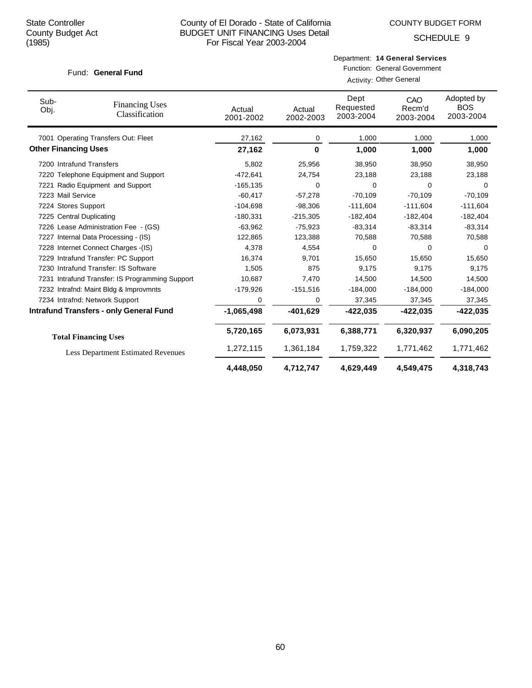COUNTY BUDGET FORM

SCHEDULE 9

#### Fund: General Fund

| Department: 14 General Services |  |
|---------------------------------|--|
|                                 |  |

Function: General Government

|  | Activity: Other General |
|--|-------------------------|
|--|-------------------------|

| Sub-<br>Obj.                | <b>Financing Uses</b><br>Classification         | Actual<br>2001-2002 | Actual<br>2002-2003 | Dept<br>Requested<br>2003-2004 | CAO<br>Recm'd<br>2003-2004 | Adopted by<br><b>BOS</b><br>2003-2004 |
|-----------------------------|-------------------------------------------------|---------------------|---------------------|--------------------------------|----------------------------|---------------------------------------|
|                             | 7001 Operating Transfers Out: Fleet             | 27,162              | 0                   | 1,000                          | 1,000                      | 1,000                                 |
| <b>Other Financing Uses</b> |                                                 | 27,162              | 0                   | 1,000                          | 1,000                      | 1,000                                 |
|                             | 7200 Intrafund Transfers                        | 5,802               | 25,956              | 38,950                         | 38,950                     | 38,950                                |
|                             | 7220 Telephone Equipment and Support            | $-472,641$          | 24,754              | 23,188                         | 23,188                     | 23,188                                |
|                             | 7221 Radio Equipment and Support                | $-165, 135$         | 0                   | 0                              | 0                          | $\Omega$                              |
| 7223 Mail Service           |                                                 | $-60.417$           | $-57,278$           | $-70.109$                      | $-70.109$                  | $-70.109$                             |
| 7224 Stores Support         |                                                 | $-104,698$          | $-98,306$           | $-111,604$                     | $-111,604$                 | $-111,604$                            |
|                             | 7225 Central Duplicating                        | $-180,331$          | $-215,305$          | $-182,404$                     | $-182,404$                 | $-182,404$                            |
|                             | 7226 Lease Administration Fee - (GS)            | $-63,962$           | $-75,923$           | $-83,314$                      | $-83,314$                  | $-83,314$                             |
|                             | 7227 Internal Data Processing - (IS)            | 122,865             | 123,388             | 70,588                         | 70,588                     | 70,588                                |
|                             | 7228 Internet Connect Charges - (IS)            | 4,378               | 4,554               | 0                              | $\Omega$                   | $\Omega$                              |
|                             | 7229 Intrafund Transfer: PC Support             | 16,374              | 9,701               | 15,650                         | 15,650                     | 15,650                                |
|                             | 7230 Intrafund Transfer: IS Software            | 1.505               | 875                 | 9.175                          | 9.175                      | 9,175                                 |
|                             | 7231 Intrafund Transfer: IS Programming Support | 10,687              | 7,470               | 14.500                         | 14,500                     | 14,500                                |
|                             | 7232 Intrafnd: Maint Bldg & Improvmnts          | $-179,926$          | $-151,516$          | $-184,000$                     | $-184,000$                 | $-184,000$                            |
|                             | 7234 Intrafnd: Network Support                  | 0                   | 0                   | 37,345                         | 37,345                     | 37,345                                |
|                             | <b>Intrafund Transfers - only General Fund</b>  | $-1,065,498$        | $-401,629$          | -422,035                       | $-422,035$                 | $-422,035$                            |
|                             | <b>Total Financing Uses</b>                     | 5,720,165           | 6,073,931           | 6,388,771                      | 6,320,937                  | 6,090,205                             |
|                             | <b>Less Department Estimated Revenues</b>       | 1,272,115           | 1,361,184           | 1,759,322                      | 1,771,462                  | 1,771,462                             |
|                             |                                                 | 4,448,050           | 4,712,747           | 4,629,449                      | 4.549.475                  | 4,318,743                             |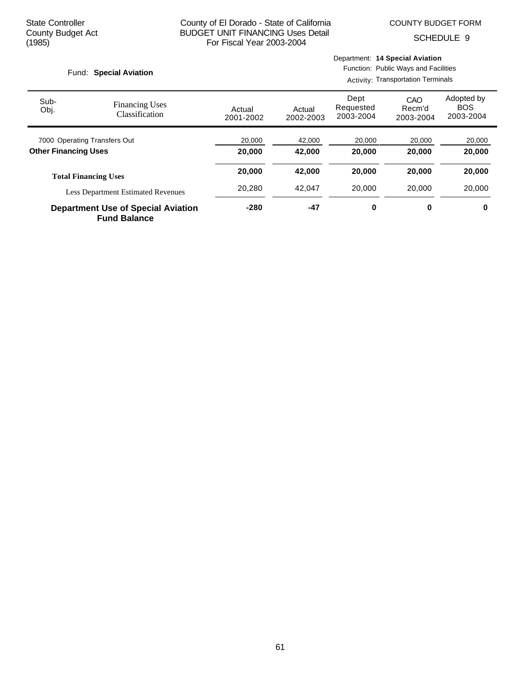SCHEDULE 9

#### Fund: Special Aviation

Department: **14 Special Aviation**

Function: Public Ways and Facilities Activity: Transportation Terminals

| Sub-<br>Obj.                              | <b>Financing Uses</b><br>Classification                          | Actual<br>2001-2002 | Actual<br>2002-2003 | Dept<br>Requested<br>2003-2004 | CAO<br>Recm'd<br>2003-2004 | Adopted by<br><b>BOS</b><br>2003-2004 |
|-------------------------------------------|------------------------------------------------------------------|---------------------|---------------------|--------------------------------|----------------------------|---------------------------------------|
|                                           | 7000 Operating Transfers Out                                     | 20,000              | 42,000              | 20,000                         | 20,000                     | 20,000                                |
| <b>Other Financing Uses</b>               |                                                                  | 20,000              | 42.000              | 20,000                         | 20,000                     | 20,000                                |
|                                           | <b>Total Financing Uses</b>                                      | 20,000              | 42.000              | 20,000                         | 20,000                     | 20,000                                |
| <b>Less Department Estimated Revenues</b> |                                                                  | 20,280              | 42.047              | 20,000                         | 20,000                     | 20,000                                |
|                                           | <b>Department Use of Special Aviation</b><br><b>Fund Balance</b> | $-280$              | $-47$               | 0                              | 0                          | 0                                     |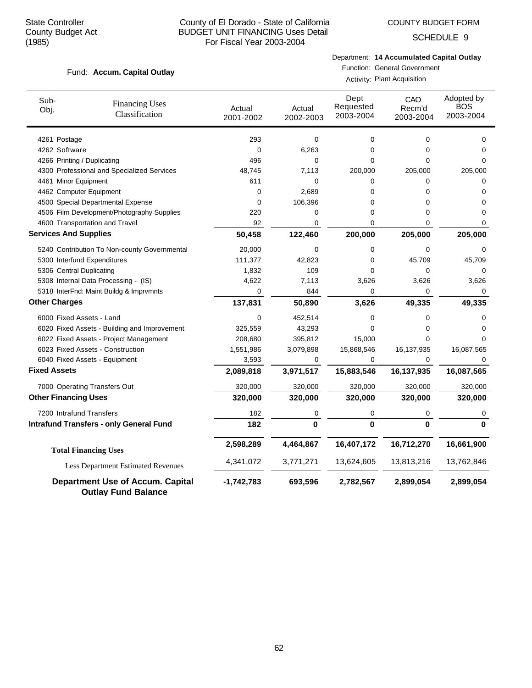Fund: Accum. Capital Outlay

## County of El Dorado - State of California BUDGET UNIT FINANCING Uses Detail For Fiscal Year 2003-2004

## COUNTY BUDGET FORM

SCHEDULE 9

# Department: **14 Accumulated Capital Outlay**

Function: General Government Activity: Plant Acquisition

| Sub-<br>Obj.        | <b>Financing Uses</b><br>Classification                               | Actual<br>2001-2002 | Actual<br>2002-2003 | Dept<br>Requested<br>2003-2004 | CAO<br>Recm'd<br>2003-2004 | Adopted by<br><b>BOS</b><br>2003-2004 |
|---------------------|-----------------------------------------------------------------------|---------------------|---------------------|--------------------------------|----------------------------|---------------------------------------|
|                     | 4261 Postage                                                          | 293                 | 0                   | 0                              | 0                          | 0                                     |
|                     | 4262 Software                                                         | $\mathbf 0$         | 6,263               | 0                              | 0                          | 0                                     |
|                     | 4266 Printing / Duplicating                                           | 496                 | 0                   | $\Omega$                       | 0                          | $\Omega$                              |
|                     | 4300 Professional and Specialized Services                            | 48,745              | 7,113               | 200,000                        | 205,000                    | 205,000                               |
|                     | 4461 Minor Equipment                                                  | 611                 | 0                   | 0                              | 0                          | 0                                     |
|                     | 4462 Computer Equipment                                               | 0                   | 2,689               | $\Omega$                       | 0                          | 0                                     |
|                     | 4500 Special Departmental Expense                                     | 0                   | 106,396             | 0                              | 0                          | 0                                     |
|                     | 4506 Film Development/Photography Supplies                            | 220                 | 0                   | 0                              | 0                          | $\Omega$                              |
|                     | 4600 Transportation and Travel                                        | 92                  | 0                   | 0                              | 0                          | 0                                     |
|                     | <b>Services And Supplies</b>                                          | 50,458              | 122,460             | 200,000                        | 205,000                    | 205,000                               |
|                     | 5240 Contribution To Non-county Governmental                          | 20,000              | 0                   | 0                              | 0                          | 0                                     |
|                     | 5300 Interfund Expenditures                                           | 111,377             | 42,823              | 0                              | 45,709                     | 45,709                                |
|                     | 5306 Central Duplicating                                              | 1,832               | 109                 | 0                              | 0                          | 0                                     |
|                     | 5308 Internal Data Processing - (IS)                                  | 4,622               | 7,113               | 3,626                          | 3,626                      | 3,626                                 |
|                     | 5318 InterFnd: Maint Buildg & Imprvmnts                               | 0                   | 844                 | $\Omega$                       | 0                          | 0                                     |
|                     | <b>Other Charges</b>                                                  | 137,831             | 50,890              | 3,626                          | 49,335                     | 49,335                                |
|                     | 6000 Fixed Assets - Land                                              | 0                   | 452,514             | 0                              | 0                          | 0                                     |
|                     | 6020 Fixed Assets - Building and Improvement                          | 325,559             | 43,293              | 0                              | 0                          | 0                                     |
|                     | 6022 Fixed Assets - Project Management                                | 208,680             | 395,812             | 15,000                         | 0                          | 0                                     |
|                     | 6023 Fixed Assets - Construction                                      | 1,551,986           | 3,079,898           | 15,868,546                     | 16,137,935                 | 16,087,565                            |
|                     | 6040 Fixed Assets - Equipment                                         | 3,593               | 0                   | 0                              | 0                          | 0                                     |
| <b>Fixed Assets</b> |                                                                       | 2,089,818           | 3,971,517           | 15,883,546                     | 16,137,935                 | 16,087,565                            |
|                     | 7000 Operating Transfers Out                                          | 320,000             | 320,000             | 320,000                        | 320,000                    | 320,000                               |
|                     | <b>Other Financing Uses</b>                                           | 320,000             | 320,000             | 320,000                        | 320,000                    | 320,000                               |
|                     | 7200 Intrafund Transfers                                              | 182                 | 0                   | 0                              | 0                          | 0                                     |
|                     | <b>Intrafund Transfers - only General Fund</b>                        | 182                 | $\mathbf{0}$        | $\mathbf{0}$                   | $\bf{0}$                   | $\Omega$                              |
|                     | <b>Total Financing Uses</b>                                           | 2,598,289           | 4,464,867           | 16,407,172                     | 16,712,270                 | 16,661,900                            |
|                     | Less Department Estimated Revenues                                    | 4,341,072           | 3,771,271           | 13,624,605                     | 13,813,216                 | 13,762,846                            |
|                     | <b>Department Use of Accum. Capital</b><br><b>Outlay Fund Balance</b> | $-1,742,783$        | 693,596             | 2,782,567                      | 2,899,054                  | 2,899,054                             |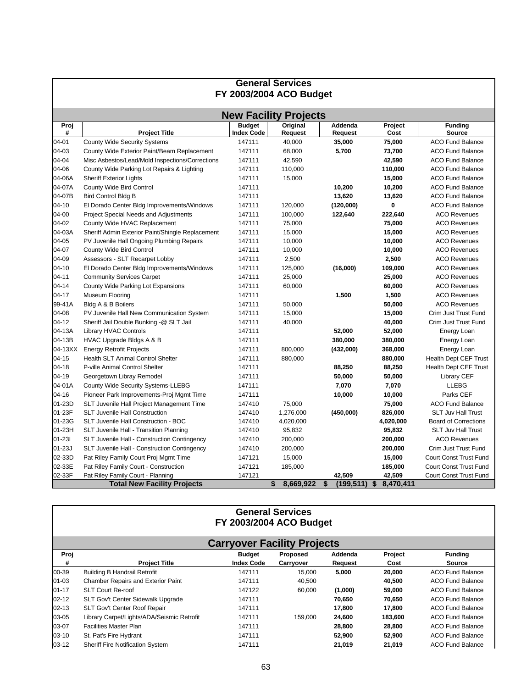| <b>General Services</b><br>FY 2003/2004 ACO Budget |                                                  |                                    |                            |                    |                 |                               |  |  |  |  |  |
|----------------------------------------------------|--------------------------------------------------|------------------------------------|----------------------------|--------------------|-----------------|-------------------------------|--|--|--|--|--|
|                                                    |                                                  |                                    |                            |                    |                 |                               |  |  |  |  |  |
| <b>New Facility Projects</b>                       |                                                  |                                    |                            |                    |                 |                               |  |  |  |  |  |
| Proj<br>#                                          | <b>Project Title</b>                             | <b>Budget</b><br><b>Index Code</b> | Original<br><b>Request</b> | Addenda<br>Request | Project<br>Cost | <b>Funding</b><br>Source      |  |  |  |  |  |
| 04-01                                              | <b>County Wide Security Systems</b>              | 147111                             | 40,000                     | 35,000             | 75,000          | <b>ACO Fund Balance</b>       |  |  |  |  |  |
| 04-03                                              | County Wide Exterior Paint/Beam Replacement      | 147111                             | 68,000                     | 5,700              | 73,700          | <b>ACO Fund Balance</b>       |  |  |  |  |  |
| 04-04                                              | Misc Asbestos/Lead/Mold Inspections/Corrections  | 147111                             | 42,590                     |                    | 42,590          | <b>ACO Fund Balance</b>       |  |  |  |  |  |
| 04-06                                              | County Wide Parking Lot Repairs & Lighting       | 147111                             | 110,000                    |                    | 110,000         | <b>ACO Fund Balance</b>       |  |  |  |  |  |
| 04-06A                                             | <b>Sheriff Exterior Lights</b>                   | 147111                             | 15,000                     |                    | 15,000          | <b>ACO Fund Balance</b>       |  |  |  |  |  |
| 04-07A                                             | <b>County Wide Bird Control</b>                  | 147111                             |                            | 10,200             | 10,200          | <b>ACO Fund Balance</b>       |  |  |  |  |  |
| 04-07B                                             | <b>Bird Control Bldg B</b>                       | 147111                             |                            | 13,620             | 13,620          | <b>ACO Fund Balance</b>       |  |  |  |  |  |
| $04 - 10$                                          | El Dorado Center Bldg Improvements/Windows       | 147111                             | 120,000                    | (120,000)          | $\bf{0}$        | <b>ACO Fund Balance</b>       |  |  |  |  |  |
| 04-00                                              | <b>Project Special Needs and Adjustments</b>     | 147111                             | 100,000                    | 122,640            | 222,640         | <b>ACO Revenues</b>           |  |  |  |  |  |
| 04-02                                              | County Wide HVAC Replacement                     | 147111                             | 75,000                     |                    | 75,000          | <b>ACO Revenues</b>           |  |  |  |  |  |
| 04-03A                                             | Sheriff Admin Exterior Paint/Shingle Replacement | 147111                             | 15,000                     |                    | 15,000          | <b>ACO Revenues</b>           |  |  |  |  |  |
| 04-05                                              | PV Juvenile Hall Ongoing Plumbing Repairs        | 147111                             | 10,000                     |                    | 10,000          | <b>ACO Revenues</b>           |  |  |  |  |  |
| 04-07                                              | <b>County Wide Bird Control</b>                  | 147111                             | 10,000                     |                    | 10,000          | <b>ACO Revenues</b>           |  |  |  |  |  |
| 04-09                                              | Assessors - SLT Recarpet Lobby                   | 147111                             | 2,500                      |                    | 2,500           | <b>ACO Revenues</b>           |  |  |  |  |  |
| $04 - 10$                                          | El Dorado Center Bldg Improvements/Windows       | 147111                             | 125,000                    | (16,000)           | 109,000         | <b>ACO Revenues</b>           |  |  |  |  |  |
| $04 - 11$                                          | <b>Community Services Carpet</b>                 | 147111                             | 25,000                     |                    | 25,000          | <b>ACO Revenues</b>           |  |  |  |  |  |
| $04 - 14$                                          | County Wide Parking Lot Expansions               | 147111                             | 60,000                     |                    | 60,000          | <b>ACO Revenues</b>           |  |  |  |  |  |
| $04 - 17$                                          | Museum Flooring                                  | 147111                             |                            | 1,500              | 1,500           | <b>ACO Revenues</b>           |  |  |  |  |  |
| 99-41A                                             | Bldg A & B Boilers                               | 147111                             | 50,000                     |                    | 50,000          | <b>ACO Revenues</b>           |  |  |  |  |  |
| 04-08                                              | PV Juvenile Hall New Communication System        | 147111                             | 15,000                     |                    | 15,000          | Crim Just Trust Fund          |  |  |  |  |  |
| $04 - 12$                                          | Sheriff Jail Double Bunking -@ SLT Jail          | 147111                             | 40,000                     |                    | 40,000          | Crim Just Trust Fund          |  |  |  |  |  |
| 04-13A                                             | Library HVAC Controls                            | 147111                             |                            | 52,000             | 52,000          | Energy Loan                   |  |  |  |  |  |
| 04-13B                                             | HVAC Upgrade Bldgs A & B                         | 147111                             |                            | 380,000            | 380,000         | Energy Loan                   |  |  |  |  |  |
| 04-13XX                                            | <b>Energy Retrofit Projects</b>                  | 147111                             | 800,000                    | (432,000)          | 368,000         | Energy Loan                   |  |  |  |  |  |
| $04 - 15$                                          | Health SLT Animal Control Shelter                | 147111                             | 880,000                    |                    | 880,000         | <b>Health Dept CEF Trust</b>  |  |  |  |  |  |
| $04 - 18$                                          | P-ville Animal Control Shelter                   | 147111                             |                            | 88,250             | 88,250          | <b>Health Dept CEF Trust</b>  |  |  |  |  |  |
| $04 - 19$                                          | Georgetown Libray Remodel                        | 147111                             |                            | 50,000             | 50,000          | <b>Library CEF</b>            |  |  |  |  |  |
| 04-01A                                             | County Wide Security Systems-LLEBG               | 147111                             |                            | 7,070              | 7,070           | <b>LLEBG</b>                  |  |  |  |  |  |
| $04 - 16$                                          | Pioneer Park Improvements-Proj Mgmt Time         | 147111                             |                            | 10,000             | 10,000          | Parks CEF                     |  |  |  |  |  |
| 01-23D                                             | SLT Juvenile Hall Project Management Time        | 147410                             | 75,000                     |                    | 75,000          | <b>ACO Fund Balance</b>       |  |  |  |  |  |
| 01-23F                                             | <b>SLT Juvenile Hall Construction</b>            | 147410                             | 1,276,000                  | (450,000)          | 826,000         | <b>SLT Juv Hall Trust</b>     |  |  |  |  |  |
| 01-23G                                             | SLT Juvenile Hall Construction - BOC             | 147410                             | 4,020,000                  |                    | 4,020,000       | <b>Board of Corrections</b>   |  |  |  |  |  |
| 01-23H                                             | SLT Juvenile Hall - Transition Planning          | 147410                             | 95,832                     |                    | 95,832          | <b>SLT Juv Hall Trust</b>     |  |  |  |  |  |
| $01 - 231$                                         | SLT Juvenile Hall - Construction Contingency     | 147410                             | 200,000                    |                    | 200,000         | <b>ACO Revenues</b>           |  |  |  |  |  |
| $01 - 23J$                                         | SLT Juvenile Hall - Construction Contingency     | 147410                             | 200,000                    |                    | 200,000         | Crim Just Trust Fund          |  |  |  |  |  |
| 02-33D                                             | Pat Riley Family Court Proj Mgmt Time            | 147121                             | 15,000                     |                    | 15,000          | <b>Court Const Trust Fund</b> |  |  |  |  |  |
| 02-33E                                             | Pat Riley Family Court - Construction            | 147121                             | 185,000                    |                    | 185,000         | Court Const Trust Fund        |  |  |  |  |  |
| 02-33F                                             | Pat Riley Family Court - Planning                | 147121                             |                            | 42,509             | 42,509          | Court Const Trust Fund        |  |  |  |  |  |
|                                                    | <b>Total New Facility Projects</b>               |                                    | 8,669,922<br>\$            | \$<br>(199, 511)   | \$<br>8,470,411 |                               |  |  |  |  |  |

|                                    | <b>General Services</b><br><b>FY 2003/2004 ACO Budget</b> |                                    |                       |                    |                 |                          |  |  |  |  |
|------------------------------------|-----------------------------------------------------------|------------------------------------|-----------------------|--------------------|-----------------|--------------------------|--|--|--|--|
| <b>Carryover Facility Projects</b> |                                                           |                                    |                       |                    |                 |                          |  |  |  |  |
| Proj<br>#                          | <b>Project Title</b>                                      | <b>Budget</b><br><b>Index Code</b> | Proposed<br>Carryover | Addenda<br>Request | Project<br>Cost | <b>Funding</b><br>Source |  |  |  |  |
| 00-39                              | <b>Building B Handrail Retrofit</b>                       | 147111                             | 15,000                | 5,000              | 20,000          | <b>ACO Fund Balance</b>  |  |  |  |  |
| $01 - 03$                          | Chamber Repairs and Exterior Paint                        | 147111                             | 40,500                |                    | 40,500          | <b>ACO Fund Balance</b>  |  |  |  |  |
| $01 - 17$                          | <b>SLT Court Re-roof</b>                                  | 147122                             | 60,000                | (1,000)            | 59,000          | <b>ACO Fund Balance</b>  |  |  |  |  |
| $02 - 12$                          | SLT Gov't Center Sidewalk Upgrade                         | 147111                             |                       | 70,650             | 70,650          | ACO Fund Balance         |  |  |  |  |
| $02 - 13$                          | SLT Gov't Center Roof Repair                              | 147111                             |                       | 17,800             | 17,800          | <b>ACO Fund Balance</b>  |  |  |  |  |
| 03-05                              | Library Carpet/Lights/ADA/Seismic Retrofit                | 147111                             | 159.000               | 24,600             | 183,600         | <b>ACO Fund Balance</b>  |  |  |  |  |
| 03-07                              | <b>Facilities Master Plan</b>                             | 147111                             |                       | 28,800             | 28,800          | <b>ACO Fund Balance</b>  |  |  |  |  |
| $03-10$                            | St. Pat's Fire Hydrant                                    | 147111                             |                       | 52,900             | 52,900          | <b>ACO Fund Balance</b>  |  |  |  |  |
| $03-12$                            | <b>Sheriff Fire Notification System</b>                   | 147111                             |                       | 21.019             | 21,019          | <b>ACO Fund Balance</b>  |  |  |  |  |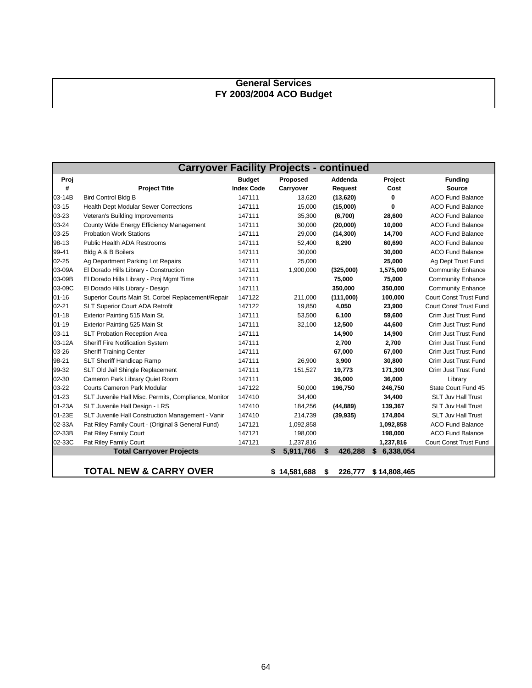# **General Services FY 2003/2004 ACO Budget**

|           | <b>Carryover Facility Projects - continued</b>       |                   |    |            |    |           |                 |                               |  |
|-----------|------------------------------------------------------|-------------------|----|------------|----|-----------|-----------------|-------------------------------|--|
| Proj      |                                                      | <b>Budget</b>     |    | Proposed   |    | Addenda   | Project         | <b>Funding</b>                |  |
| #         | <b>Project Title</b>                                 | <b>Index Code</b> |    | Carryover  |    | Request   | Cost            | <b>Source</b>                 |  |
| 03-14B    | <b>Bird Control Bldg B</b>                           | 147111            |    | 13,620     |    | (13,620)  | 0               | <b>ACO Fund Balance</b>       |  |
| $03 - 15$ | <b>Health Dept Modular Sewer Corrections</b>         | 147111            |    | 15,000     |    | (15,000)  | 0               | <b>ACO Fund Balance</b>       |  |
| 03-23     | Veteran's Building Improvements                      | 147111            |    | 35,300     |    | (6,700)   | 28,600          | <b>ACO Fund Balance</b>       |  |
| 03-24     | County Wide Energy Efficiency Management             | 147111            |    | 30,000     |    | (20,000)  | 10,000          | <b>ACO Fund Balance</b>       |  |
| 03-25     | <b>Probation Work Stations</b>                       | 147111            |    | 29,000     |    | (14, 300) | 14,700          | <b>ACO Fund Balance</b>       |  |
| 98-13     | <b>Public Health ADA Restrooms</b>                   | 147111            |    | 52,400     |    | 8,290     | 60,690          | <b>ACO Fund Balance</b>       |  |
| 99-41     | Bldg A & B Boilers                                   | 147111            |    | 30,000     |    |           | 30,000          | <b>ACO Fund Balance</b>       |  |
| $02 - 25$ | Ag Department Parking Lot Repairs                    | 147111            |    | 25,000     |    |           | 25,000          | Ag Dept Trust Fund            |  |
| 03-09A    | El Dorado Hills Library - Construction               | 147111            |    | 1,900,000  |    | (325,000) | 1,575,000       | <b>Community Enhance</b>      |  |
| 03-09B    | El Dorado Hills Library - Proj Mgmt Time             | 147111            |    |            |    | 75,000    | 75,000          | <b>Community Enhance</b>      |  |
| 03-09C    | El Dorado Hills Library - Design                     | 147111            |    |            |    | 350,000   | 350,000         | <b>Community Enhance</b>      |  |
| $01 - 16$ | Superior Courts Main St. Corbel Replacement/Repair   | 147122            |    | 211,000    |    | (111,000) | 100,000         | <b>Court Const Trust Fund</b> |  |
| $02 - 21$ | <b>SLT Superior Court ADA Retrofit</b>               | 147122            |    | 19,850     |    | 4,050     | 23,900          | <b>Court Const Trust Fund</b> |  |
| $01 - 18$ | Exterior Painting 515 Main St.                       | 147111            |    | 53,500     |    | 6,100     | 59,600          | Crim Just Trust Fund          |  |
| $01 - 19$ | Exterior Painting 525 Main St                        | 147111            |    | 32,100     |    | 12,500    | 44,600          | Crim Just Trust Fund          |  |
| $03 - 11$ | <b>SLT Probation Reception Area</b>                  | 147111            |    |            |    | 14,900    | 14,900          | Crim Just Trust Fund          |  |
| 03-12A    | Sheriff Fire Notification System                     | 147111            |    |            |    | 2,700     | 2,700           | Crim Just Trust Fund          |  |
| 03-26     | <b>Sheriff Training Center</b>                       | 147111            |    |            |    | 67,000    | 67,000          | Crim Just Trust Fund          |  |
| 98-21     | SLT Sheriff Handicap Ramp                            | 147111            |    | 26,900     |    | 3,900     | 30,800          | Crim Just Trust Fund          |  |
| 99-32     | SLT Old Jail Shingle Replacement                     | 147111            |    | 151,527    |    | 19,773    | 171,300         | Crim Just Trust Fund          |  |
| 02-30     | Cameron Park Library Quiet Room                      | 147111            |    |            |    | 36,000    | 36,000          | Library                       |  |
| 03-22     | <b>Courts Cameron Park Modular</b>                   | 147122            |    | 50,000     |    | 196,750   | 246,750         | State Court Fund 45           |  |
| $01 - 23$ | SLT Juvenile Hall Misc. Permits, Compliance, Monitor | 147410            |    | 34,400     |    |           | 34,400          | <b>SLT Juv Hall Trust</b>     |  |
| 01-23A    | SLT Juvenile Hall Design - LRS                       | 147410            |    | 184,256    |    | (44, 889) | 139,367         | <b>SLT Juv Hall Trust</b>     |  |
| 01-23E    | SLT Juvenile Hall Construction Management - Vanir    | 147410            |    | 214,739    |    | (39, 935) | 174,804         | <b>SLT Juv Hall Trust</b>     |  |
| 02-33A    | Pat Riley Family Court - (Original \$ General Fund)  | 147121            |    | 1,092,858  |    |           | 1,092,858       | <b>ACO Fund Balance</b>       |  |
| 02-33B    | Pat Riley Family Court                               | 147121            |    | 198,000    |    |           | 198,000         | <b>ACO Fund Balance</b>       |  |
| 02-33C    | Pat Riley Family Court                               | 147121            |    | 1,237,816  |    |           | 1,237,816       | Court Const Trust Fund        |  |
|           | <b>Total Carryover Projects</b>                      |                   | \$ | 5,911,766  | \$ | 426,288   | \$<br>6,338,054 |                               |  |
|           |                                                      |                   |    |            |    |           |                 |                               |  |
|           | <b>TOTAL NEW &amp; CARRY OVER</b>                    |                   | S  | 14,581,688 | S  | 226,777   | \$14,808,465    |                               |  |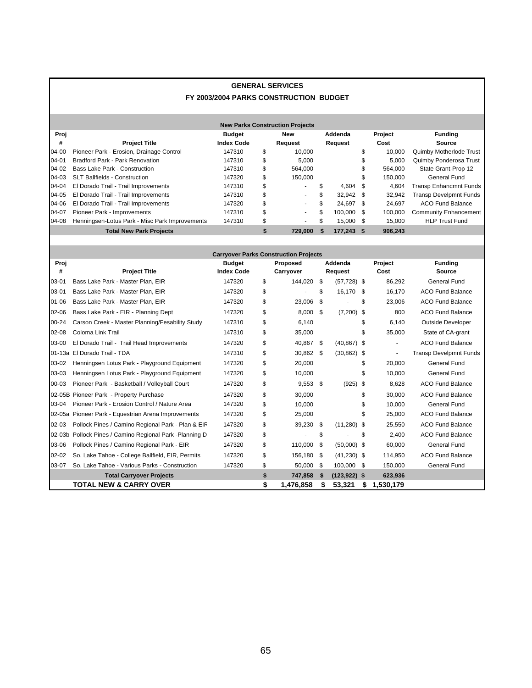## **GENERAL SERVICES FY 2003/2004 PARKS CONSTRUCTION BUDGET**

|           | <b>New Parks Construction Projects</b>                             |                   |    |                          |    |            |    |         |                               |
|-----------|--------------------------------------------------------------------|-------------------|----|--------------------------|----|------------|----|---------|-------------------------------|
| Proj      |                                                                    | <b>Budget</b>     |    | New                      |    | Addenda    |    | Project | <b>Funding</b>                |
| #         | <b>Project Title</b>                                               | <b>Index Code</b> |    | Request                  |    | Request    |    | Cost    | Source                        |
| 04-00     | Pioneer Park - Erosion, Drainage Control                           | 147310            | \$ | 10.000                   |    |            | \$ | 10.000  | Quimby Motherlode Trust       |
| $04 - 01$ | Bradford Park - Park Renovation                                    | 147310            | \$ | 5.000                    |    |            |    | 5,000   | Quimby Ponderosa Trust        |
| 04-02     | <b>Bass Lake Park - Construction</b>                               | 147310            | \$ | 564.000                  |    |            | \$ | 564.000 | State Grant-Prop 12           |
| $04-03$   | <b>SLT Ballfields - Construction</b>                               | 147320            | \$ | 150.000                  |    |            | S. | 150.000 | General Fund                  |
| 04-04     | El Dorado Trail - Trail Improvements                               | 147310            | \$ | ۰.                       | \$ | $4.604$ \$ |    | 4.604   | <b>Transp Enhancmnt Funds</b> |
| 04-05     | El Dorado Trail - Trail Improvements                               | 147310            | \$ | $\overline{\phantom{0}}$ | \$ | 32.942 \$  |    | 32.942  | <b>Transp Develpmnt Funds</b> |
| 04-06     | El Dorado Trail - Trail Improvements                               | 147320            | \$ | ۰.                       | \$ | 24.697 \$  |    | 24.697  | ACO Fund Balance              |
| 04-07     | Pioneer Park - Improvements                                        | 147310            | \$ | ٠                        | \$ | 100.000 \$ |    | 100.000 | <b>Community Enhancement</b>  |
| 04-08     | Henningsen-Lotus Park - Misc Park Improvements                     | 147310            | \$ | $\sim$                   | \$ | 15.000 \$  |    | 15.000  | <b>HLP Trust Fund</b>         |
|           | 177.243 \$<br><b>Total New Park Projects</b><br>729.000<br>906.243 |                   |    |                          |    |            |    |         |                               |

|           | <b>Carryover Parks Construction Projects</b>            |                   |    |            |      |                 |      |           |                               |  |
|-----------|---------------------------------------------------------|-------------------|----|------------|------|-----------------|------|-----------|-------------------------------|--|
| Proj      |                                                         | <b>Budget</b>     |    | Proposed   |      | Addenda         |      | Project   | <b>Funding</b>                |  |
| #         | <b>Project Title</b>                                    | <b>Index Code</b> |    | Carryover  |      | Request         |      | Cost      | Source                        |  |
| 03-01     | Bass Lake Park - Master Plan, EIR                       | 147320            | \$ | 144,020 \$ |      | $(57, 728)$ \$  |      | 86,292    | <b>General Fund</b>           |  |
| $03 - 01$ | Bass Lake Park - Master Plan, EIR                       | 147320            | \$ |            | \$   | 16,170          | - \$ | 16,170    | <b>ACO Fund Balance</b>       |  |
| $01 - 06$ | Bass Lake Park - Master Plan, EIR                       | 147320            | \$ | 23,006     | \$   |                 | \$   | 23,006    | <b>ACO Fund Balance</b>       |  |
| 02-06     | Bass Lake Park - EIR - Planning Dept                    | 147320            | \$ | 8,000      | \$   | $(7,200)$ \$    |      | 800       | <b>ACO Fund Balance</b>       |  |
| $00 - 24$ | Carson Creek - Master Planning/Fesability Study         | 147310            | \$ | 6,140      |      |                 | \$   | 6,140     | <b>Outside Developer</b>      |  |
| $02 - 08$ | Coloma Link Trail                                       | 147310            | \$ | 35,000     |      |                 | \$   | 35,000    | State of CA-grant             |  |
| 03-00     | El Dorado Trail - Trail Head Improvements               | 147320            | \$ | 40,867 \$  |      | $(40, 867)$ \$  |      |           | <b>ACO Fund Balance</b>       |  |
|           | 01-13a El Dorado Trail - TDA                            | 147310            | \$ | 30,862 \$  |      | $(30, 862)$ \$  |      |           | <b>Transp Develpmnt Funds</b> |  |
| 03-02     | Henningsen Lotus Park - Playground Equipment            | 147320            | \$ | 20,000     |      |                 | \$   | 20,000    | <b>General Fund</b>           |  |
| 03-03     | Henningsen Lotus Park - Playground Equipment            | 147320            | \$ | 10,000     |      |                 | \$   | 10,000    | <b>General Fund</b>           |  |
| 00-03     | Pioneer Park - Basketball / Volleyball Court            | 147320            | \$ | $9,553$ \$ |      | $(925)$ \$      |      | 8.628     | <b>ACO Fund Balance</b>       |  |
|           | 02-05B Pioneer Park - Property Purchase                 | 147320            | \$ | 30.000     |      |                 | \$   | 30.000    | <b>ACO Fund Balance</b>       |  |
| 03-04     | Pioneer Park - Erosion Control / Nature Area            | 147320            | \$ | 10,000     |      |                 | \$   | 10,000    | General Fund                  |  |
|           | 02-05a Pioneer Park - Equestrian Arena Improvements     | 147320            | \$ | 25,000     |      |                 | \$   | 25,000    | <b>ACO Fund Balance</b>       |  |
| 02-03     | Pollock Pines / Camino Regional Park - Plan & EIF       | 147320            | \$ | 39,230     | - \$ | $(11,280)$ \$   |      | 25,550    | <b>ACO Fund Balance</b>       |  |
|           | 02-03b Pollock Pines / Camino Regional Park -Planning D | 147320            | \$ | ٠          | \$   |                 | \$   | 2.400     | <b>ACO Fund Balance</b>       |  |
| 03-06     | Pollock Pines / Camino Regional Park - EIR              | 147320            | \$ | 110,000    | - \$ | $(50,000)$ \$   |      | 60,000    | <b>General Fund</b>           |  |
| $02 - 02$ | So. Lake Tahoe - College Ballfield, EIR, Permits        | 147320            | \$ | 156,180 \$ |      | $(41,230)$ \$   |      | 114,950   | <b>ACO Fund Balance</b>       |  |
| 03-07     | So. Lake Tahoe - Various Parks - Construction           | 147320            | \$ | 50,000     | -\$  | 100,000 \$      |      | 150,000   | <b>General Fund</b>           |  |
|           | <b>Total Carryover Projects</b>                         |                   | \$ | 747,858    | \$   | $(123, 922)$ \$ |      | 623,936   |                               |  |
|           | <b>TOTAL NEW &amp; CARRY OVER</b>                       |                   | \$ | 1,476,858  | S    | 53,321          | S    | 1,530,179 |                               |  |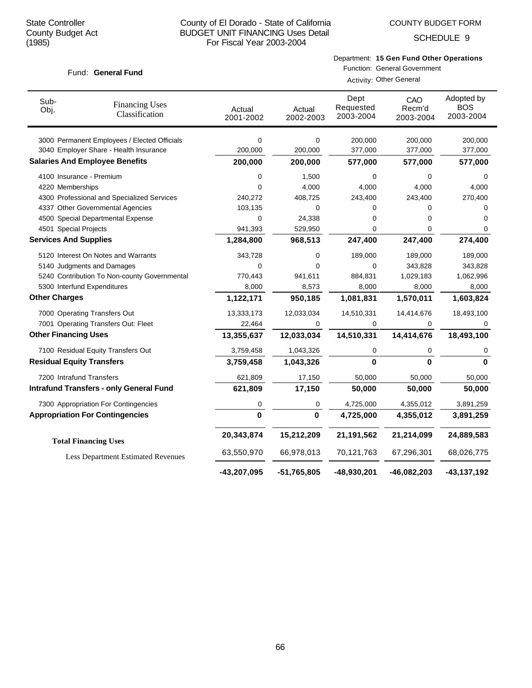Fund: General Fund

SCHEDULE 9

# Department: **15 Gen Fund Other Operations**

| Sub-<br>Obj.                                                             | <b>Financing Uses</b><br>Classification        | Actual<br>2001-2002 | Actual<br>2002-2003 | Dept<br>Requested<br>2003-2004 | CAO<br>Recm'd<br>2003-2004 | Adopted by<br><b>BOS</b><br>2003-2004 |
|--------------------------------------------------------------------------|------------------------------------------------|---------------------|---------------------|--------------------------------|----------------------------|---------------------------------------|
|                                                                          | 3000 Permanent Employees / Elected Officials   | 0                   | 0                   | 200,000                        | 200,000                    | 200,000                               |
|                                                                          | 3040 Employer Share - Health Insurance         | 200,000             | 200,000             | 377,000                        | 377,000                    | 377,000                               |
|                                                                          | <b>Salaries And Employee Benefits</b>          | 200,000             | 200,000             | 577,000                        | 577,000                    | 577,000                               |
| 4100 Insurance - Premium                                                 |                                                | 0                   | 1,500               | 0                              | 0                          | 0                                     |
| 4220 Memberships                                                         |                                                | 0                   | 4,000               | 4,000                          | 4,000                      | 4,000                                 |
|                                                                          | 4300 Professional and Specialized Services     | 240,272             | 408,725             | 243,400                        | 243,400                    | 270,400                               |
|                                                                          | 4337 Other Governmental Agencies               | 103,135             | 0                   | 0                              | 0                          | 0                                     |
|                                                                          | 4500 Special Departmental Expense              | 0                   | 24,338              | 0                              | 0                          | 0                                     |
| 4501 Special Projects                                                    |                                                | 941,393             | 529,950             | 0                              | 0                          | 0                                     |
| <b>Services And Supplies</b>                                             |                                                | 1,284,800           | 968,513             | 247,400                        | 247,400                    | 274,400                               |
|                                                                          | 5120 Interest On Notes and Warrants            | 343,728             | 0                   | 189,000                        | 189,000                    | 189,000                               |
|                                                                          | 5140 Judgments and Damages                     | 0                   | 0                   | 0                              | 343,828                    | 343,828                               |
|                                                                          | 5240 Contribution To Non-county Governmental   | 770,443             | 941,611             | 884,831                        | 1,029,183                  | 1,062,996                             |
|                                                                          | 5300 Interfund Expenditures                    | 8,000               | 8,573               | 8,000                          | 8,000                      | 8,000                                 |
| <b>Other Charges</b>                                                     |                                                | 1,122,171           | 950,185             | 1,081,831                      | 1,570,011                  | 1,603,824                             |
|                                                                          | 7000 Operating Transfers Out                   | 13,333,173          | 12,033,034          | 14,510,331                     | 14,414,676                 | 18,493,100                            |
|                                                                          | 7001 Operating Transfers Out: Fleet            | 22,464              | 0                   | 0                              | 0                          |                                       |
| <b>Other Financing Uses</b>                                              |                                                | 13,355,637          | 12,033,034          | 14,510,331                     | 14,414,676                 | 18,493,100                            |
|                                                                          | 7100 Residual Equity Transfers Out             | 3,759,458           | 1,043,326           | 0                              | 0                          | 0                                     |
| <b>Residual Equity Transfers</b>                                         |                                                | 3,759,458           | 1,043,326           | $\bf{0}$                       | $\mathbf{0}$               | $\Omega$                              |
| 7200 Intrafund Transfers                                                 |                                                | 621,809             | 17,150              | 50,000                         | 50,000                     | 50,000                                |
|                                                                          | <b>Intrafund Transfers - only General Fund</b> | 621,809             | 17,150              | 50,000                         | 50,000                     | 50,000                                |
|                                                                          | 7300 Appropriation For Contingencies           | 0                   | 0                   | 4,725,000                      | 4,355,012                  | 3,891,259                             |
|                                                                          | <b>Appropriation For Contingencies</b>         | <sup>0</sup>        | $\mathbf{0}$        | 4,725,000                      | 4,355,012                  | 3,891,259                             |
|                                                                          |                                                | 20,343,874          | 15,212,209          | 21,191,562                     | 21,214,099                 | 24,889,583                            |
| <b>Total Financing Uses</b><br><b>Less Department Estimated Revenues</b> |                                                | 63,550,970          | 66,978,013          | 70,121,763                     | 67,296,301                 | 68,026,775                            |
|                                                                          |                                                | -43,207,095         | $-51,765,805$       | -48,930,201                    | $-46,082,203$              | $-43, 137, 192$                       |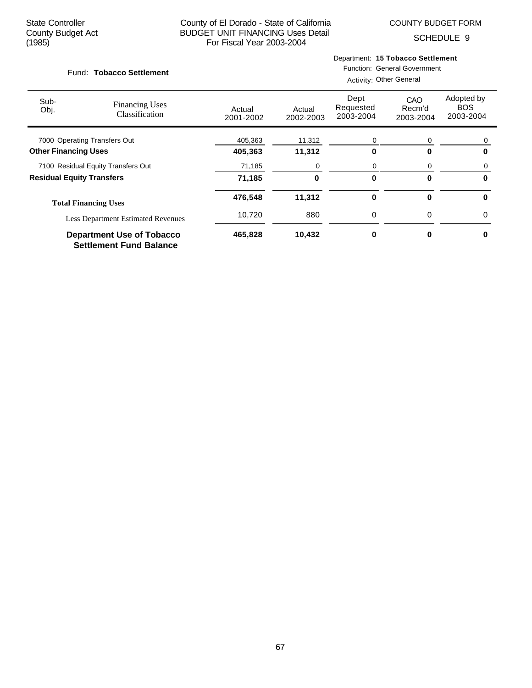COUNTY BUDGET FORM

SCHEDULE 9

#### Fund: Tobacco Settlement

Department: **15 Tobacco Settlement**

| Sub-<br>Obj.                              | <b>Financing Uses</b><br>Classification                            | Actual<br>2001-2002 | Actual<br>2002-2003 | Dept<br>Requested<br>2003-2004 | CAO<br>Recm'd<br>2003-2004 | Adopted by<br><b>BOS</b><br>2003-2004 |
|-------------------------------------------|--------------------------------------------------------------------|---------------------|---------------------|--------------------------------|----------------------------|---------------------------------------|
| 7000 Operating Transfers Out              |                                                                    | 405,363             | 11,312              | 0                              | 0                          | 0                                     |
| <b>Other Financing Uses</b>               |                                                                    | 405,363             | 11,312              | 0                              | U                          | 0                                     |
|                                           | 7100 Residual Equity Transfers Out                                 | 71,185              | 0                   | 0                              | 0                          |                                       |
| <b>Residual Equity Transfers</b>          |                                                                    | 71,185              | 0                   | 0                              | 0                          | 0                                     |
|                                           | <b>Total Financing Uses</b>                                        | 476,548             | 11,312              | 0                              | 0                          | $\bf{0}$                              |
| <b>Less Department Estimated Revenues</b> |                                                                    | 10,720              | 880                 | 0                              | 0                          | $\Omega$                              |
|                                           | <b>Department Use of Tobacco</b><br><b>Settlement Fund Balance</b> | 465,828             | 10,432              | 0                              | 0                          | 0                                     |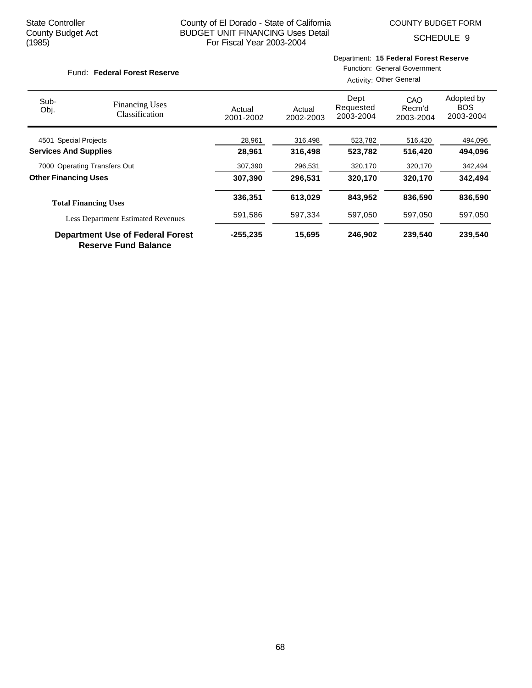Fund: Federal Forest Reserve

## County of El Dorado - State of California BUDGET UNIT FINANCING Uses Detail For Fiscal Year 2003-2004

SCHEDULE 9

# Department: **15 Federal Forest Reserve**

# Function: General Government

| Sub-<br>Obj.                                                           | <b>Financing Uses</b><br>Classification | Actual<br>2001-2002 | Actual<br>2002-2003 | Dept<br>Requested<br>2003-2004 | CAO<br>Recm'd<br>2003-2004 | Adopted by<br><b>BOS</b><br>2003-2004 |
|------------------------------------------------------------------------|-----------------------------------------|---------------------|---------------------|--------------------------------|----------------------------|---------------------------------------|
| 4501 Special Projects                                                  |                                         | 28,961              | 316,498             | 523,782                        | 516,420                    | 494,096                               |
| <b>Services And Supplies</b>                                           |                                         | 28,961              | 316,498             | 523,782                        | 516,420                    | 494,096                               |
| 7000 Operating Transfers Out                                           |                                         | 307,390             | 296,531             | 320,170                        | 320,170                    | 342,494                               |
| <b>Other Financing Uses</b>                                            |                                         | 307,390             | 296,531             | 320,170                        | 320,170                    | 342.494                               |
|                                                                        | <b>Total Financing Uses</b>             | 336,351             | 613,029             | 843.952                        | 836.590                    | 836,590                               |
| <b>Less Department Estimated Revenues</b>                              |                                         | 591,586             | 597,334             | 597,050                        | 597,050                    | 597,050                               |
| <b>Department Use of Federal Forest</b><br><b>Reserve Fund Balance</b> |                                         | $-255,235$          | 15,695              | 246.902                        | 239.540                    | 239,540                               |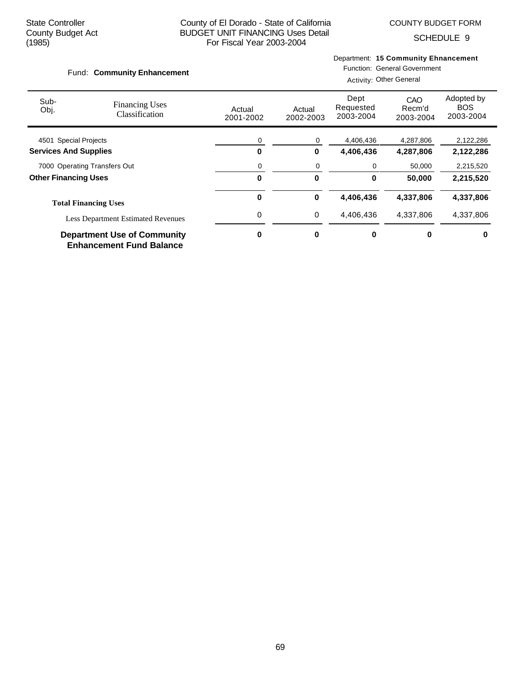Fund: Community Enhancement

## County of El Dorado - State of California BUDGET UNIT FINANCING Uses Detail For Fiscal Year 2003-2004

SCHEDULE 9

## Department: **15 Community Ehnancement** Function: General Government

|                                                                       |                                         |                     |                     | <b>Activity: Other General</b> |                            |                                       |  |  |
|-----------------------------------------------------------------------|-----------------------------------------|---------------------|---------------------|--------------------------------|----------------------------|---------------------------------------|--|--|
| Sub-<br>Obj.                                                          | <b>Financing Uses</b><br>Classification | Actual<br>2001-2002 | Actual<br>2002-2003 | Dept<br>Requested<br>2003-2004 | CAO<br>Recm'd<br>2003-2004 | Adopted by<br><b>BOS</b><br>2003-2004 |  |  |
| 4501 Special Projects                                                 |                                         | 0                   | 0                   | 4,406,436                      | 4,287,806                  | 2,122,286                             |  |  |
| <b>Services And Supplies</b>                                          |                                         | 0                   | 0                   | 4,406,436                      | 4,287,806                  | 2,122,286                             |  |  |
| 7000 Operating Transfers Out                                          |                                         | 0                   | 0                   | 0                              | 50,000                     | 2,215,520                             |  |  |
| <b>Other Financing Uses</b>                                           |                                         | 0                   | $\bf{0}$            | 0                              | 50,000                     | 2,215,520                             |  |  |
|                                                                       | <b>Total Financing Uses</b>             | 0                   | 0                   | 4,406,436                      | 4,337,806                  | 4,337,806                             |  |  |
| <b>Less Department Estimated Revenues</b>                             |                                         | 0                   | 0                   | 4,406,436                      | 4,337,806                  | 4,337,806                             |  |  |
| <b>Department Use of Community</b><br><b>Enhancement Fund Balance</b> |                                         | 0                   | 0                   | 0                              | 0                          | 0                                     |  |  |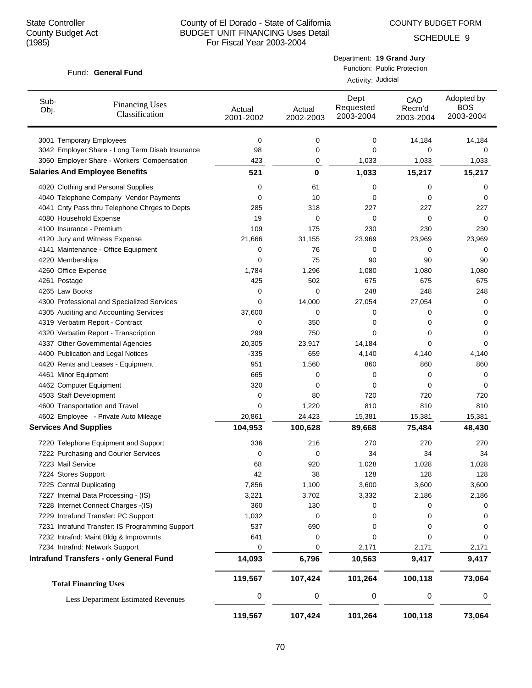COUNTY BUDGET FORM

Department: **19 Grand Jury**

SCHEDULE 9

| Fund: General Fund                                      | Function: Public Protection<br>Activity: Judicial |                     |                                |                            |                                       |  |
|---------------------------------------------------------|---------------------------------------------------|---------------------|--------------------------------|----------------------------|---------------------------------------|--|
| Sub-<br><b>Financing Uses</b><br>Obj.<br>Classification | Actual<br>2001-2002                               | Actual<br>2002-2003 | Dept<br>Requested<br>2003-2004 | CAO<br>Recm'd<br>2003-2004 | Adopted by<br><b>BOS</b><br>2003-2004 |  |
| 3001 Temporary Employees                                | 0                                                 | 0                   | 0                              | 14,184                     | 14,184                                |  |
| 3042 Employer Share - Long Term Disab Insurance         | 98                                                | 0                   | 0                              | 0                          | 0                                     |  |
| 3060 Employer Share - Workers' Compensation             | 423                                               | 0                   | 1,033                          | 1,033                      | 1,033                                 |  |
| <b>Salaries And Employee Benefits</b>                   | 521                                               | 0                   | 1,033                          | 15,217                     | 15,217                                |  |
| 4020 Clothing and Personal Supplies                     | 0                                                 | 61                  | 0                              | 0                          | 0                                     |  |
| 4040 Telephone Company Vendor Payments                  | 0                                                 | 10                  | 0                              | 0                          | 0                                     |  |
| 4041 Cnty Pass thru Telephone Chrges to Depts           | 285                                               | 318                 | 227                            | 227                        | 227                                   |  |
| 4080 Household Expense                                  | 19                                                | 0                   | 0                              | 0                          | 0                                     |  |
| 4100 Insurance - Premium                                | 109                                               | 175                 | 230                            | 230                        | 230                                   |  |
| 4120 Jury and Witness Expense                           | 21,666                                            | 31,155              | 23,969                         | 23,969                     | 23,969                                |  |
| 4141 Maintenance - Office Equipment                     | 0                                                 | 76                  | 0                              | 0                          | 0                                     |  |
| 4220 Memberships                                        | 0                                                 | 75                  | 90                             | 90                         | 90                                    |  |
| 4260 Office Expense                                     | 1,784                                             | 1,296               | 1,080                          | 1,080                      | 1,080                                 |  |
| 4261 Postage                                            | 425                                               | 502                 | 675                            | 675                        | 675                                   |  |
| 4265 Law Books                                          | 0                                                 | 0                   | 248                            | 248                        | 248                                   |  |
| 4300 Professional and Specialized Services              | 0                                                 | 14,000              | 27,054                         | 27,054                     | 0                                     |  |
| 4305 Auditing and Accounting Services                   | 37,600                                            | 0                   | 0                              | 0                          | 0                                     |  |
| 4319 Verbatim Report - Contract                         | 0                                                 | 350                 | 0                              | 0                          | 0                                     |  |
| 4320 Verbatim Report - Transcription                    | 299                                               | 750                 | 0                              | 0                          | 0                                     |  |
| 4337 Other Governmental Agencies                        | 20,305                                            | 23,917              | 14,184                         | 0                          | 0                                     |  |
| 4400 Publication and Legal Notices                      | -335                                              | 659                 | 4,140                          | 4,140                      | 4,140                                 |  |
| 4420 Rents and Leases - Equipment                       | 951                                               | 1,560               | 860                            | 860                        | 860                                   |  |
| 4461 Minor Equipment                                    | 665                                               | 0                   | 0                              | 0                          | 0                                     |  |
| 4462 Computer Equipment                                 | 320                                               | 0                   | 0                              | 0                          | 0                                     |  |
| 4503 Staff Development                                  | 0                                                 | 80                  | 720                            | 720                        | 720                                   |  |
| 4600 Transportation and Travel                          | 0                                                 | 1,220               | 810                            | 810                        | 810                                   |  |
| 4602 Employee - Private Auto Mileage                    | 20,861                                            | 24,423              | 15,381                         | 15,381                     | 15,381                                |  |
| <b>Services And Supplies</b>                            | 104,953                                           | 100,628             | 89,668                         | 75,484                     | 48,430                                |  |
| 7220 Telephone Equipment and Support                    | 336                                               | 216                 | 270                            | 270                        | 270                                   |  |
| 7222 Purchasing and Courier Services                    | 0                                                 | 0                   | 34                             | 34                         | 34                                    |  |
| 7223 Mail Service                                       | 68                                                | 920                 | 1,028                          | 1,028                      | 1,028                                 |  |
| 7224 Stores Support                                     | 42                                                | 38                  | 128                            | 128                        | 128                                   |  |
| 7225 Central Duplicating                                | 7,856                                             | 1,100               | 3,600                          | 3,600                      | 3,600                                 |  |
| 7227 Internal Data Processing - (IS)                    | 3,221                                             | 3,702               | 3,332                          | 2,186                      | 2,186                                 |  |
| 7228 Internet Connect Charges -(IS)                     | 360                                               | 130                 | 0                              | 0                          | 0                                     |  |
| 7229 Intrafund Transfer: PC Support                     | 1,032                                             | 0                   | 0                              | 0                          | 0                                     |  |
| 7231 Intrafund Transfer: IS Programming Support         | 537                                               | 690                 | 0                              | 0                          | 0                                     |  |
| 7232 Intrafnd: Maint Bldg & Improvmnts                  | 641                                               | 0                   | 0                              | 0                          | 0                                     |  |
| 7234 Intrafnd: Network Support                          | 0                                                 | 0                   | 2,171                          | 2,171                      | 2,171                                 |  |
| <b>Intrafund Transfers - only General Fund</b>          | 14,093                                            | 6,796               | 10,563                         | 9,417                      | 9,417                                 |  |
| <b>Total Financing Uses</b>                             | 119,567                                           | 107,424             | 101,264                        | 100,118                    | 73,064                                |  |
| <b>Less Department Estimated Revenues</b>               | 0                                                 | 0                   | 0                              | 0                          | 0                                     |  |
|                                                         | 119,567                                           | 107,424             | 101,264                        | 100,118                    | 73,064                                |  |